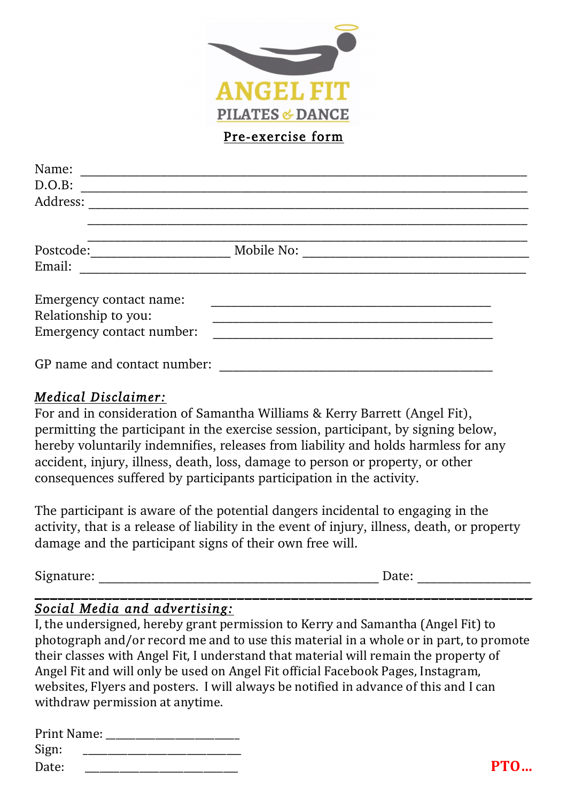

Pre-exercise form

| Name:                       |            |  |
|-----------------------------|------------|--|
| D.O.B:                      |            |  |
| Address:                    |            |  |
|                             |            |  |
| Postcode:                   | Mobile No: |  |
| Email:                      |            |  |
| Emergency contact name:     |            |  |
| Relationship to you:        |            |  |
| Emergency contact number:   |            |  |
| GP name and contact number: |            |  |

## *Medical Disclaimer:*

For and in consideration of Samantha Williams & Kerry Barrett (Angel Fit), permitting the participant in the exercise session, participant, by signing below, hereby voluntarily indemnifies, releases from liability and holds harmless for any accident, injury, illness, death, loss, damage to person or property, or other consequences suffered by participants participation in the activity.

The participant is aware of the potential dangers incidental to engaging in the activity, that is a release of liability in the event of injury, illness, death, or property damage and the participant signs of their own free will.

| $\cap$<br>$+ - - - - - -$<br>acarc. |  | ______________________ |
|-------------------------------------|--|------------------------|
|                                     |  |                        |

## *Social Media and advertising:*

I, the undersigned, hereby grant permission to Kerry and Samantha (Angel Fit) to photograph and/or record me and to use this material in a whole or in part, to promote their classes with Angel Fit, I understand that material will remain the property of Angel Fit and will only be used on Angel Fit official Facebook Pages, Instagram, websites, Flyers and posters. I will always be notified in advance of this and I can withdraw permission at anytime.

| Print Name: |            |
|-------------|------------|
| Sign:       |            |
| Date:       | <b>PTO</b> |